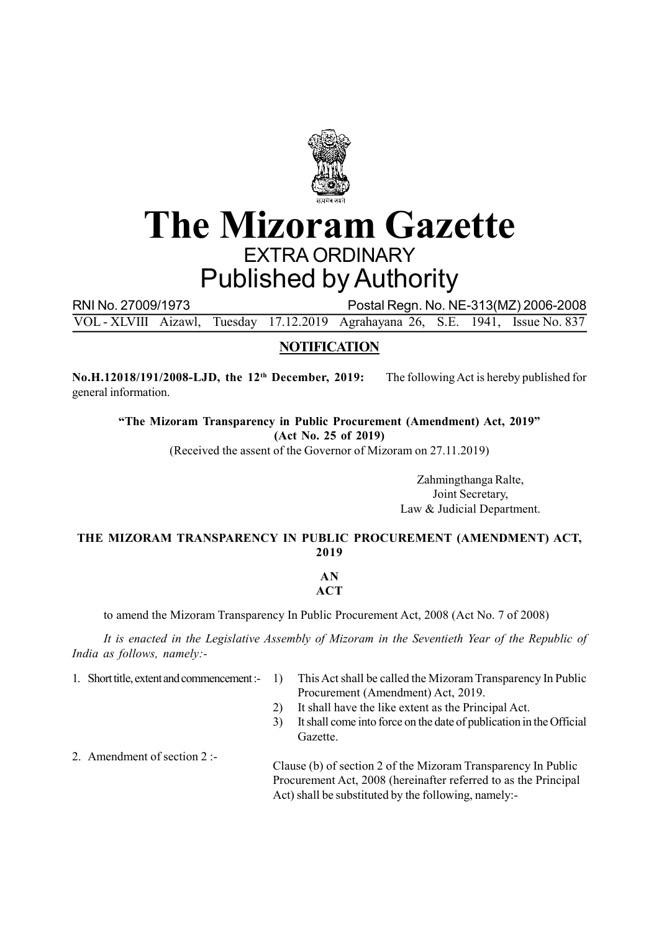

# The Mizoram Gazette EXTRA ORDINARY Published by Authority

RNI No. 27009/1973 Postal Regn. No. NE-313(MZ) 2006-2008 VOL - XLVIII Aizawl, Tuesday 17.12.2019 Agrahayana 26, S.E. 1941, Issue No. 837

## **NOTIFICATION**

No.H.12018/191/2008-LJD, the 12<sup>th</sup> December, 2019: The following Act is hereby published for general information.

"The Mizoram Transparency in Public Procurement (Amendment) Act, 2019" (Act No. 25 of 2019)

(Received the assent of the Governor of Mizoram on 27.11.2019)

Zahmingthanga Ralte, Joint Secretary, Law & Judicial Department.

#### THE MIZORAM TRANSPARENCY IN PUBLIC PROCUREMENT (AMENDMENT) ACT, 2019

### AN

## ACT

to amend the Mizoram Transparency In Public Procurement Act, 2008 (Act No. 7 of 2008)

It is enacted in the Legislative Assembly of Mizoram in the Seventieth Year of the Republic of India as follows, namely:-

- 1. Short title, extent and commencement :-
- 1) This Act shall be called the Mizoram Transparency In Public Procurement (Amendment) Act, 2019.
- 2) It shall have the like extent as the Principal Act.
- 3) It shall come into force on the date of publication in the Official Gazette.

2. Amendment of section 2 :-

Clause (b) of section 2 of the Mizoram Transparency In Public Procurement Act, 2008 (hereinafter referred to as the Principal Act) shall be substituted by the following, namely:-